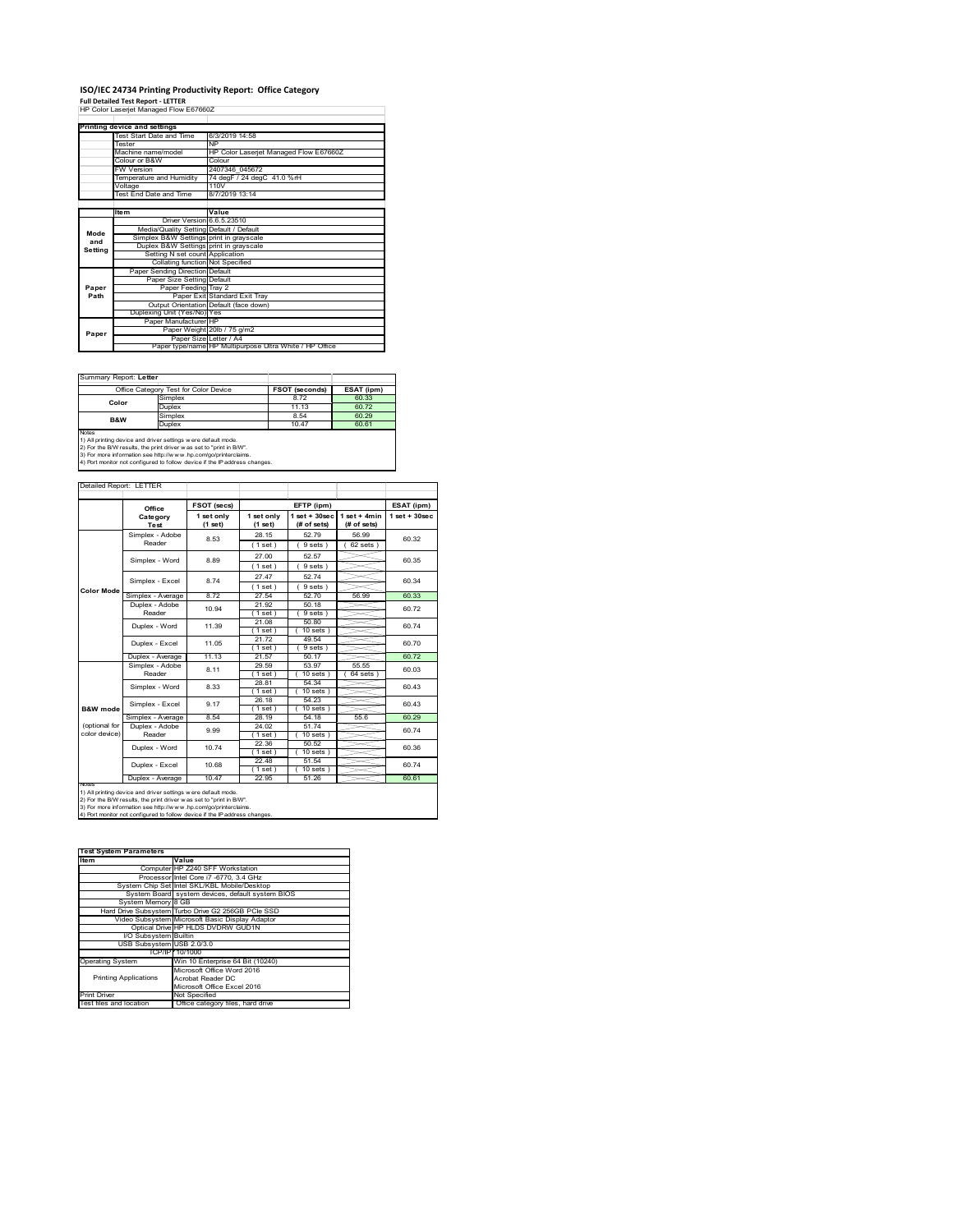# **ISO/IEC 24734 Printing Productivity Report: Office Category Full Detailed Test Report ‐ LETTER** HP Color Laserjet Managed Flow E67660Z

|         | Printing device and settings            |                                                         |
|---------|-----------------------------------------|---------------------------------------------------------|
|         | Test Start Date and Time                | 6/3/2019 14:58                                          |
|         | <b>Tester</b>                           | <b>NP</b>                                               |
|         | Machine name/model                      | HP Color Laserjet Managed Flow E67660Z                  |
|         | Colour or B&W                           | Colour                                                  |
|         | <b>FW Version</b>                       | 2407346 045672                                          |
|         | Temperature and Humidity                | 74 degF / 24 degC 41.0 %rH                              |
|         | Voltage                                 | 110V                                                    |
|         | <b>Test End Date and Time</b>           | 8/7/2019 13:14                                          |
|         |                                         |                                                         |
|         | <b>Item</b>                             | Value                                                   |
|         | Driver Version 6.6.5.23510              |                                                         |
| Mode    | Media/Quality Setting Default / Default |                                                         |
| and     | Simplex B&W Settings print in grayscale |                                                         |
| Setting | Duplex B&W Settings print in grayscale  |                                                         |
|         | Setting N set count Application         |                                                         |
|         | Collating function Not Specified        |                                                         |
|         | Paper Sending Direction Default         |                                                         |
|         | Paper Size Setting Default              |                                                         |
| Paper   | Paper Feeding Tray 2                    |                                                         |
| Path    |                                         | Paper Exit Standard Exit Tray                           |
|         |                                         | Output Orientation Default (face down)                  |
|         | Duplexing Unit (Yes/No) Yes             |                                                         |
|         | Paper Manufacturer HP                   |                                                         |
| Paper   |                                         | Paper Weight 20lb / 75 g/m2                             |
|         | Paper Size Letter / A4                  |                                                         |
|         |                                         | Paper type/name HP Multipurpose Ultra White / HP Office |

Summary Report: **Letter**

|                                                                     | Office Category Test for Color Device                                      | <b>FSOT (seconds)</b> | ESAT (ipm) |  |  |  |  |
|---------------------------------------------------------------------|----------------------------------------------------------------------------|-----------------------|------------|--|--|--|--|
| Color                                                               | Simplex                                                                    | 8.72                  | 60.33      |  |  |  |  |
|                                                                     | <b>Duplex</b>                                                              | 11 13                 | 60.72      |  |  |  |  |
| <b>B&amp;W</b>                                                      | Simplex                                                                    | 8.54                  | 60.29      |  |  |  |  |
|                                                                     | <b>Duplex</b>                                                              | 10.47                 | 60.61      |  |  |  |  |
| <b>Notes</b>                                                        |                                                                            |                       |            |  |  |  |  |
|                                                                     | 1) All printing device and driver settings were default mode.              |                       |            |  |  |  |  |
| 2) For the B/W results, the print driver was set to "print in B/W". |                                                                            |                       |            |  |  |  |  |
|                                                                     | 3) For more information see http://www.hp.com/go/printerclaims.            |                       |            |  |  |  |  |
|                                                                     | 4) Port monitor not configured to follow device if the IP address changes. |                       |            |  |  |  |  |

|               | Office                   | <b>FSOT (secs)</b>    | EFTP (ipm)            |                                  |                                 | ESAT (ipm)        |  |
|---------------|--------------------------|-----------------------|-----------------------|----------------------------------|---------------------------------|-------------------|--|
|               | Category<br>Test         | 1 set only<br>(1 set) | 1 set only<br>(1 set) | $1$ set $+30$ sec<br>(# of sets) | $1$ set $+$ 4min<br>(# of sets) | $1$ set $+30$ sec |  |
|               | Simplex - Adobe          | 8.53                  | 28 15                 | 5279                             | 56.99                           | 60.32             |  |
|               | Reader                   |                       | (1 set)               | 9 sets)                          | $62$ sets $)$                   |                   |  |
|               | Simplex - Word           | 8.89                  | 27.00                 | 52.57                            |                                 | 60.35             |  |
|               |                          |                       | (1 set)               | 9 sets)                          |                                 |                   |  |
|               | Simplex - Excel          | 874                   | 27.47                 | 52.74                            |                                 | 60 34             |  |
| Color Mode    |                          |                       | (1 set)               | 9 sets)                          |                                 |                   |  |
|               | Simplex - Average        | 872                   | 27.54                 | 5270                             | 56.99                           | 60.33             |  |
|               | Duplex - Adobe           | 10.94                 | 21.92                 | 50.18                            |                                 | 60 72             |  |
|               | Reader                   |                       | (1 set)               | 9 sets)                          |                                 |                   |  |
|               | Duplex - Word            | 11.39                 | 21.08                 | 50.80                            |                                 | 60 74             |  |
|               |                          |                       | (1 set )<br>21.72     | $10$ sets $1$<br>49.54           |                                 |                   |  |
|               | Duplex - Excel           | 11 05                 | (1 set )              | 9 sets 1                         |                                 | 60.70             |  |
|               | Duplex - Average         | 11.13                 | 21.57                 | 50.17                            |                                 | 60.72             |  |
|               | Simplex - Adobe          |                       | 29.59                 | 53.97                            | 55 55                           | 60.03             |  |
|               | Reader                   | 8.11                  | $1$ set $)$           | $10$ sets $1$                    | 64 sets                         |                   |  |
|               | Simplex - Word           | 8.33                  | 28.81                 | 54.34                            |                                 | 60.43             |  |
|               |                          |                       | [1 set ]              | $10$ sets $)$                    |                                 |                   |  |
|               | Simplex - Excel          | 9 17                  | 26.18                 | 54.23                            |                                 | 60 43             |  |
| B&W mode      |                          |                       | (1 set )              | $10$ sets $)$                    |                                 |                   |  |
| (optional for | Simplex - Average        | 8.54                  | 28.19                 | 54.18                            | 55.6                            | 60.29             |  |
| color device) | Duplex - Adobe<br>Reader | 9.99                  | 24.02<br>(1 set )     | 5174<br>$10$ sets $)$            |                                 | 60.74             |  |
|               |                          |                       | 22.36                 | 50.52                            |                                 |                   |  |
|               | Duplex - Word            | 10.74                 | (1 set )              | $10$ sets                        |                                 | 60.36             |  |
|               |                          |                       | 22.48                 | 51.54                            |                                 |                   |  |
|               | Duplex - Excel           | 10.68                 | (1 set)               | $10 sets$ )                      |                                 | 60 74             |  |
|               | Duplex - Average         | 10.47                 | 22.95                 | 51.26                            |                                 | 60.61             |  |

| <b>Test System Parameters</b> |                                                    |
|-------------------------------|----------------------------------------------------|
| Item                          | Value                                              |
|                               | Computer HP Z240 SFF Workstation                   |
|                               | Processor Intel Core i7 -6770, 3.4 GHz             |
|                               | System Chip Set Intel SKL/KBL Mobile/Desktop       |
|                               | System Board system devices, default system BIOS   |
| System Memory 8 GB            |                                                    |
|                               | Hard Drive Subsystem Turbo Drive G2 256GB PCIe SSD |
|                               | Video Subsystem Microsoft Basic Display Adaptor    |
|                               | Optical Drive HP HLDS DVDRW GUD1N                  |
| I/O Subsystem Builtin         |                                                    |
| USB Subsystem USB 2.0/3.0     |                                                    |
|                               | TCP/IP 10/1000                                     |
| <b>Operating System</b>       | Win 10 Enterprise 64 Bit (10240)                   |
|                               | Microsoft Office Word 2016                         |
| <b>Printing Applications</b>  | Acrobat Reader DC                                  |
|                               | Microsoft Office Excel 2016                        |
| <b>Print Driver</b>           | Not Specified                                      |
| Test files and location       | Office category files, hard drive                  |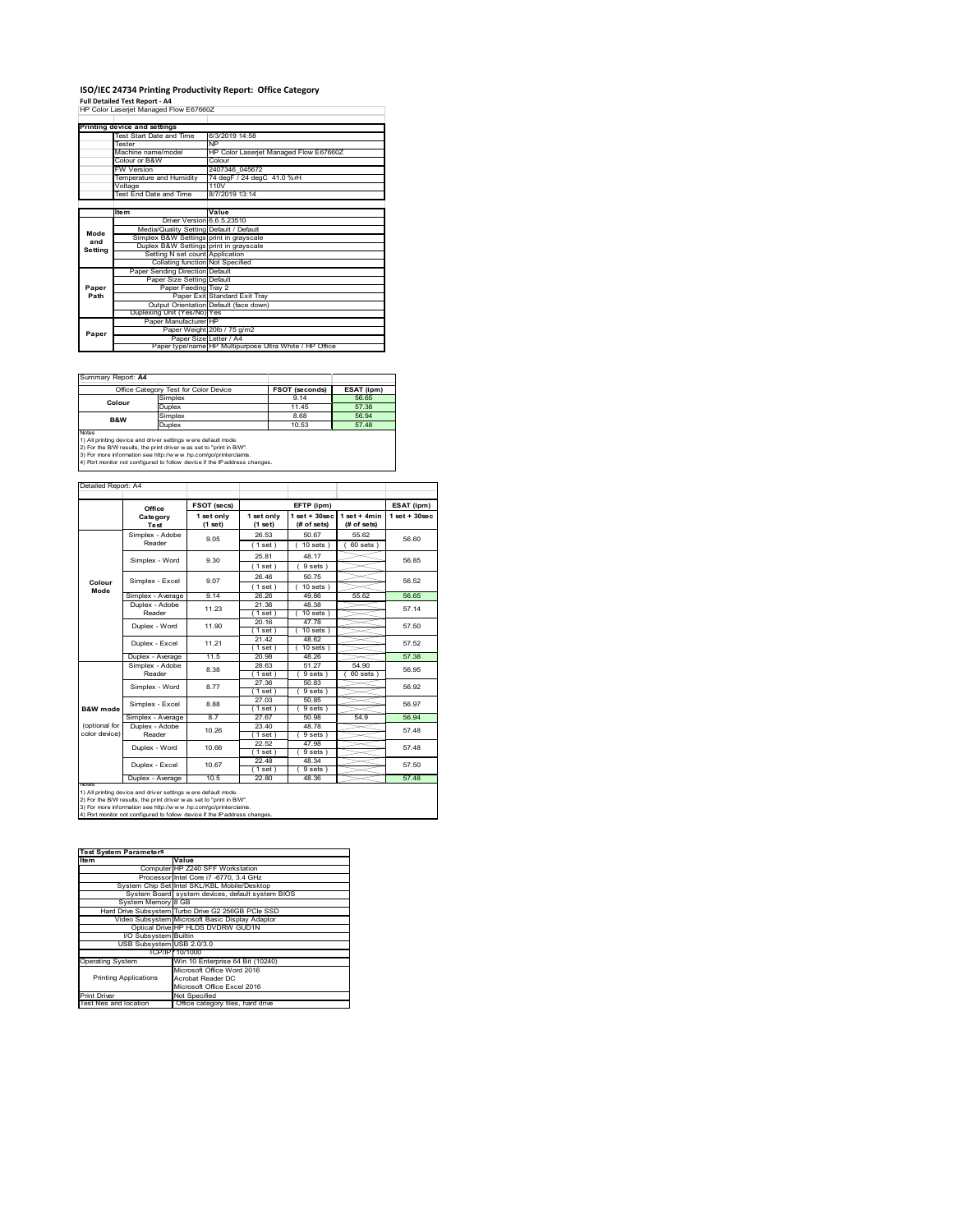# **ISO/IEC 24734 Printing Productivity Report: Office Category<br>Full Detailed Test Report - A4<br>HP Color Laserjet Managed Flow E67660Z**

|         | Printing device and settings            |                                                         |
|---------|-----------------------------------------|---------------------------------------------------------|
|         | Test Start Date and Time                | 6/3/2019 14:58                                          |
|         | Tester                                  | <b>NP</b>                                               |
|         | Machine name/model                      | HP Color Laserjet Managed Flow E67660Z                  |
|         | Colour or B&W                           | Colour                                                  |
|         | <b>FW Version</b>                       | 2407346 045672                                          |
|         | Temperature and Humidity                | 74 degF / 24 degC 41.0 %rH                              |
|         | Voltage                                 | 110V                                                    |
|         | <b>Test End Date and Time</b>           | 8/7/2019 13:14                                          |
|         |                                         |                                                         |
|         | <b>Item</b>                             | Value                                                   |
|         | Driver Version 6.6.5.23510              |                                                         |
| Mode    | Media/Quality Setting Default / Default |                                                         |
| and     | Simplex B&W Settings print in grayscale |                                                         |
| Setting | Duplex B&W Settings print in grayscale  |                                                         |
|         | Setting N set count Application         |                                                         |
|         | Collating function Not Specified        |                                                         |
|         | Paper Sending Direction Default         |                                                         |
|         | Paper Size Setting Default              |                                                         |
| Paper   | Paper Feeding Tray 2                    |                                                         |
| Path    |                                         | Paper Exit Standard Exit Tray                           |
|         |                                         | Output Orientation Default (face down)                  |
|         | Duplexing Unit (Yes/No) Yes             |                                                         |
|         | Paper Manufacturer HP                   |                                                         |
| Paper   |                                         | Paper Weight 20lb / 75 g/m2                             |
|         |                                         | Paper Size Letter / A4                                  |
|         |                                         | Paper type/name HP Multipurpose Ultra White / HP Office |

Summary Report: **A4**

| <u> Julianu I IV</u> |                                                               |                       |            |  |  |  |
|----------------------|---------------------------------------------------------------|-----------------------|------------|--|--|--|
|                      | Office Category Test for Color Device                         | <b>FSOT (seconds)</b> | ESAT (ipm) |  |  |  |
| Colour               | Simplex                                                       | 9 14                  | 56.65      |  |  |  |
|                      | Duplex                                                        | 11 45                 | 57.38      |  |  |  |
| B&W                  | Simplex                                                       | 8.68                  | 56.94      |  |  |  |
| Duplex               |                                                               | 10.53                 | 57.48      |  |  |  |
| <b>Notes</b>         |                                                               |                       |            |  |  |  |
|                      | 1) All printing device and driver settings were default mode. |                       |            |  |  |  |

1) All printing device and driver settings were default mode.<br>2) For the B/W results, the print driver was set to "print in B/W".<br>3) For more information see http://www.hp.com/go/printerclaims.<br>4) Port monitor not configur

Detailed Report: A4

|                | Office            | FSOT (secs)           |                       | EFTP (ipm)                     |                               | ESAT (ipm)              |  |
|----------------|-------------------|-----------------------|-----------------------|--------------------------------|-------------------------------|-------------------------|--|
|                | Category<br>Test  | 1 set only<br>(1 set) | 1 set only<br>(1 set) | $1$ set + 30sec<br>(# of sets) | $1$ set + 4min<br>(# of sets) | $1$ set $+30$ sec       |  |
|                | Simplex - Adobe   | 9.05                  | 26.53                 | 50.67                          | 55.62                         | 56.60                   |  |
|                | Reader            |                       | (1 set)               | $10$ sets $)$                  | $60$ sets $)$                 |                         |  |
|                | Simplex - Word    | 9.30                  | 25.81                 | 48.17                          |                               | 56.85                   |  |
|                |                   |                       | (1 set)               | 9 sets)                        |                               |                         |  |
|                | Simplex - Excel   | 9.07                  | 26.46                 | 50 75                          |                               | 56.52                   |  |
| Colour<br>Mode |                   |                       | (1 set)               | $10$ sets $)$                  |                               |                         |  |
|                | Simplex - Average | 9 14                  | 26.26                 | 49.86                          | 55.62                         | 56.65                   |  |
|                | Duplex - Adobe    | 11.23                 | 21.36                 | 48.38                          |                               | 57.14                   |  |
|                | Reader            |                       | (1 set)               | $10$ sets $)$                  |                               |                         |  |
|                | Duplex - Word     | 11.90                 | 20.16<br>$1$ set $)$  | 4778<br>$10$ sets $)$          |                               | 57.50                   |  |
|                | Duplex - Excel    | 11 21                 | 21.42                 | 48.62                          |                               |                         |  |
|                |                   |                       | $1$ set)              | $10$ sets $)$                  |                               | 57.52                   |  |
|                | Duplex - Average  | 11.5                  | 20.98                 | 48.26                          |                               | 57.38                   |  |
|                | Simplex - Adobe   | 8.38<br>877           | 28.63                 | 51.27                          | 54.90                         | 56 95<br>56.92<br>56.97 |  |
|                | Reader            |                       | (1 set)               | 9 sets                         | $60$ sets $)$                 |                         |  |
|                | Simplex - Word    |                       | 27.36                 | 50.83                          |                               |                         |  |
|                |                   |                       | (1 set)               | 9 sets                         |                               |                         |  |
| B&W mode       | Simplex - Excel   | 8.88                  | 27.03<br>$1$ set)     | 50.85<br>9 sets                |                               |                         |  |
|                | Simplex - Average | 87                    | 27.67                 | 50.98                          | 54.9                          | 56.94                   |  |
| (optional for  | Duplex - Adobe    |                       | 23.40                 | 48.78                          |                               |                         |  |
| color device)  | Reader            | 10.26                 | $1$ set $)$           | 9 sets)                        |                               | 57 48                   |  |
|                | Duplex - Word     | 10.66                 | 22.52                 | 47.98                          |                               | 57 48                   |  |
|                |                   |                       | (1 set)               | 9 sets)                        |                               |                         |  |
|                | Duplex - Excel    | 10.67                 | 22.48                 | 48.34                          |                               | 57.50                   |  |
|                |                   |                       | (1 set)               | 9 sets)                        |                               |                         |  |
| <b>NOTeS</b>   | Duplex - Average  | 10.5                  | 22.80                 | 48.36                          |                               | 57.48                   |  |

2) For the B/W results, the print driver w as set to "print in B/W".<br>3) For more information see http://w w v.hp.com/go/printerclaims.<br>4) Port monitor not configured to follow device if the IP address changes.

| <b>Test System Parameters</b> |                                                    |  |  |  |  |
|-------------------------------|----------------------------------------------------|--|--|--|--|
| <b>Item</b>                   | Value                                              |  |  |  |  |
|                               | Computer HP Z240 SFF Workstation                   |  |  |  |  |
|                               | Processor Intel Core i7 -6770, 3.4 GHz             |  |  |  |  |
|                               | System Chip Set Intel SKL/KBL Mobile/Desktop       |  |  |  |  |
|                               | System Board system devices, default system BIOS   |  |  |  |  |
| System Memory 8 GB            |                                                    |  |  |  |  |
|                               | Hard Drive Subsystem Turbo Drive G2 256GB PCle SSD |  |  |  |  |
|                               | Video Subsystem Microsoft Basic Display Adaptor    |  |  |  |  |
|                               | Optical Drive HP HLDS DVDRW GUD1N                  |  |  |  |  |
| I/O Subsystem Builtin         |                                                    |  |  |  |  |
| USB Subsystem USB 2.0/3.0     |                                                    |  |  |  |  |
|                               | TCP/IP 10/1000                                     |  |  |  |  |
| <b>Operating System</b>       | Win 10 Enterprise 64 Bit (10240)                   |  |  |  |  |
|                               | Microsoft Office Word 2016                         |  |  |  |  |
| <b>Printing Applications</b>  | Acrobat Reader DC                                  |  |  |  |  |
|                               | Microsoft Office Excel 2016                        |  |  |  |  |
| <b>Print Driver</b>           | Not Specified                                      |  |  |  |  |
| Test files and location       | Office category files, hard drive                  |  |  |  |  |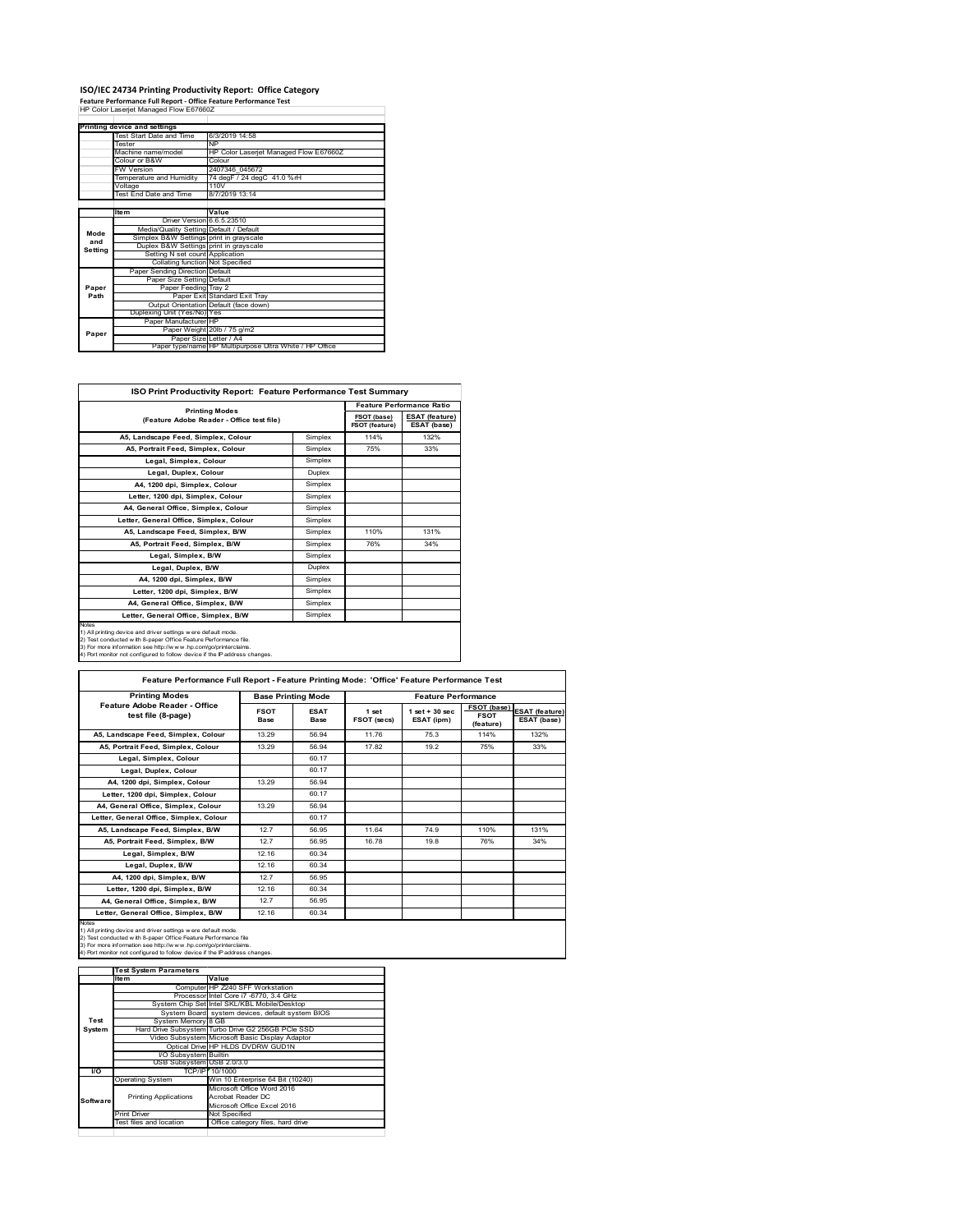# **ISO/IEC 24734 Printing Productivity Report: Office Category Feature Performance Full Report ‐ Office Feature Performance Test** HP Color Laserjet Managed Flow E67660Z

|             | Printing device and settings            |                                                         |  |  |
|-------------|-----------------------------------------|---------------------------------------------------------|--|--|
|             | Test Start Date and Time                | 6/3/2019 14:58                                          |  |  |
|             | <b>Tester</b>                           | <b>NP</b>                                               |  |  |
|             | Machine name/model                      | HP Color Laserjet Managed Flow E67660Z                  |  |  |
|             | Colour or B&W                           | Colour                                                  |  |  |
|             | <b>FW Version</b>                       | 2407346 045672                                          |  |  |
|             | Temperature and Humidity                | 74 degF / 24 degC 41.0 %rH                              |  |  |
|             | Voltage                                 | 110V                                                    |  |  |
|             | Test End Date and Time                  | 8/7/2019 13:14                                          |  |  |
|             |                                         |                                                         |  |  |
|             | <b>Item</b>                             | Value                                                   |  |  |
|             | Driver Version 6.6.5.23510              |                                                         |  |  |
| Mode<br>and | Media/Quality Setting Default / Default |                                                         |  |  |
|             | Simplex B&W Settings print in grayscale |                                                         |  |  |
| Setting     | Duplex B&W Settings print in grayscale  |                                                         |  |  |
|             | Setting N set count Application         |                                                         |  |  |
|             | Collating function Not Specified        |                                                         |  |  |
|             | Paper Sending Direction Default         |                                                         |  |  |
|             | Paper Size Setting Default              |                                                         |  |  |
| Paper       | Paper Feeding Tray 2                    |                                                         |  |  |
| Path        |                                         | Paper Exit Standard Exit Tray                           |  |  |
|             |                                         | Output Orientation Default (face down)                  |  |  |
|             | Duplexing Unit (Yes/No) Yes             |                                                         |  |  |
|             | Paper Manufacturer HP                   |                                                         |  |  |
| Paper       |                                         | Paper Weight 20lb / 75 g/m2                             |  |  |
|             | Paper Size Letter / A4                  |                                                         |  |  |
|             |                                         | Paper type/name HP Multipurpose Ultra White / HP Office |  |  |

| ISO Print Productivity Report: Feature Performance Test Summary                                                                                                                                                                                                                            |         |                                  |                                      |  |  |
|--------------------------------------------------------------------------------------------------------------------------------------------------------------------------------------------------------------------------------------------------------------------------------------------|---------|----------------------------------|--------------------------------------|--|--|
|                                                                                                                                                                                                                                                                                            |         | <b>Feature Performance Ratio</b> |                                      |  |  |
| <b>Printing Modes</b><br>(Feature Adobe Reader - Office test file)                                                                                                                                                                                                                         |         | FSOT (base)<br>FSOT (feature)    | <b>ESAT</b> (feature)<br>ESAT (base) |  |  |
| A5. Landscape Feed. Simplex. Colour                                                                                                                                                                                                                                                        | Simplex | 114%                             | 132%                                 |  |  |
| A5, Portrait Feed, Simplex, Colour                                                                                                                                                                                                                                                         | Simplex | 75%                              | 33%                                  |  |  |
| Legal, Simplex, Colour                                                                                                                                                                                                                                                                     | Simplex |                                  |                                      |  |  |
| Legal, Duplex, Colour                                                                                                                                                                                                                                                                      | Duplex  |                                  |                                      |  |  |
| A4. 1200 dpi. Simplex. Colour                                                                                                                                                                                                                                                              | Simplex |                                  |                                      |  |  |
| Letter, 1200 dpi, Simplex, Colour                                                                                                                                                                                                                                                          | Simplex |                                  |                                      |  |  |
| A4. General Office. Simplex. Colour                                                                                                                                                                                                                                                        | Simplex |                                  |                                      |  |  |
| Letter, General Office, Simplex, Colour                                                                                                                                                                                                                                                    | Simplex |                                  |                                      |  |  |
| A5, Landscape Feed, Simplex, B/W                                                                                                                                                                                                                                                           | Simplex | 110%                             | 131%                                 |  |  |
| A5. Portrait Feed. Simplex. B/W                                                                                                                                                                                                                                                            | Simplex | 76%                              | 34%                                  |  |  |
| Legal, Simplex, B/W                                                                                                                                                                                                                                                                        | Simplex |                                  |                                      |  |  |
| Legal, Duplex, B/W                                                                                                                                                                                                                                                                         | Duplex  |                                  |                                      |  |  |
| A4. 1200 dpi. Simplex. B/W                                                                                                                                                                                                                                                                 | Simplex |                                  |                                      |  |  |
| Letter, 1200 dpi, Simplex, B/W                                                                                                                                                                                                                                                             | Simplex |                                  |                                      |  |  |
| A4. General Office. Simplex. B/W                                                                                                                                                                                                                                                           | Simplex |                                  |                                      |  |  |
| Letter, General Office, Simplex, B/W                                                                                                                                                                                                                                                       | Simplex |                                  |                                      |  |  |
| Notes<br>1) All printing device and driver settings were default mode.<br>2) Test conducted with 8-paper Office Feature Performance file.<br>3) For more information see http://www.hp.com/go/printerclaims.<br>4) Port monitor not configured to follow device if the IP address changes. |         |                                  |                                      |  |  |

| <b>Printing Modes</b>                               |                     | <b>Base Printing Mode</b> |                      | <b>Feature Performance</b>      |                                                |                                      |  |
|-----------------------------------------------------|---------------------|---------------------------|----------------------|---------------------------------|------------------------------------------------|--------------------------------------|--|
| Feature Adobe Reader - Office<br>test file (8-page) | <b>FSOT</b><br>Base | <b>ESAT</b><br>Base       | 1 set<br>FSOT (secs) | $1$ set $+30$ sec<br>ESAT (ipm) | <b>FSOT</b> (base)<br><b>FSOT</b><br>(feature) | <b>ESAT</b> (feature)<br>ESAT (base) |  |
| A5. Landscape Feed. Simplex. Colour                 | 13.29               | 56.94                     | 11.76                | 75.3                            | 114%                                           | 132%                                 |  |
| A5, Portrait Feed, Simplex, Colour                  | 13.29               | 56.94                     | 17.82                | 19.2                            | 75%                                            | 33%                                  |  |
| Legal, Simplex, Colour                              |                     | 60.17                     |                      |                                 |                                                |                                      |  |
| Legal, Duplex, Colour                               |                     | 60.17                     |                      |                                 |                                                |                                      |  |
| A4. 1200 dpi. Simplex. Colour                       | 13.29               | 56.94                     |                      |                                 |                                                |                                      |  |
| Letter, 1200 dpi, Simplex, Colour                   |                     | 60 17                     |                      |                                 |                                                |                                      |  |
| A4. General Office. Simplex. Colour                 | 13.29               | 56.94                     |                      |                                 |                                                |                                      |  |
| Letter, General Office, Simplex, Colour             |                     | 60 17                     |                      |                                 |                                                |                                      |  |
| A5, Landscape Feed, Simplex, B/W                    | 12.7                | 56.95                     | 11.64                | 74.9                            | 110%                                           | 131%                                 |  |
| A5, Portrait Feed, Simplex, B/W                     | 12.7                | 56.95                     | 16.78                | 19.8                            | 76%                                            | 34%                                  |  |
| Legal, Simplex, B/W                                 | 12.16               | 60.34                     |                      |                                 |                                                |                                      |  |
| Legal, Duplex, B/W                                  | 12.16               | 60.34                     |                      |                                 |                                                |                                      |  |
| A4, 1200 dpi, Simplex, B/W                          | 12.7                | 56.95                     |                      |                                 |                                                |                                      |  |
| Letter, 1200 dpi, Simplex, B/W                      | 12.16               | 60.34                     |                      |                                 |                                                |                                      |  |
| A4, General Office, Simplex, B/W                    | 12.7                | 56.95                     |                      |                                 |                                                |                                      |  |
| Letter, General Office, Simplex, B/W                | 12.16               | 60.34                     |                      |                                 |                                                |                                      |  |

1) All printing device and driver settings were default mode.<br>2) Test conducted with 8-paper Office Feature Performance file<br>3) For more information see http://www.hp.com/go/printerclaims.<br>4) Port monitor not configured to

|           | <b>Test System Parameters</b> |                                                    |
|-----------|-------------------------------|----------------------------------------------------|
|           | Item                          | Value                                              |
|           |                               | Computer HP Z240 SFF Workstation                   |
|           |                               | Processor Intel Core i7 -6770, 3.4 GHz             |
|           |                               | System Chip Set Intel SKL/KBL Mobile/Desktop       |
|           |                               | System Board system devices, default system BIOS   |
| Test      | System Memory 8 GB            |                                                    |
| System    |                               | Hard Drive Subsystem Turbo Drive G2 256GB PCle SSD |
|           |                               | Video Subsystem Microsoft Basic Display Adaptor    |
|           |                               | Optical Drive HP HLDS DVDRW GUD1N                  |
|           | <b>VO Subsystem Builtin</b>   |                                                    |
|           | USB Subsystem USB 2.0/3.0     |                                                    |
| <b>VO</b> |                               | TCP/IP/ 10/1000                                    |
|           | <b>Operating System</b>       | Win 10 Enterprise 64 Bit (10240)                   |
|           |                               | Microsoft Office Word 2016                         |
| Software  | <b>Printing Applications</b>  | Acrobat Reader DC                                  |
|           |                               | Microsoft Office Excel 2016                        |
|           | <b>Print Driver</b>           | Not Specified                                      |
|           | Test files and location       | Office category files, hard drive                  |
|           |                               |                                                    |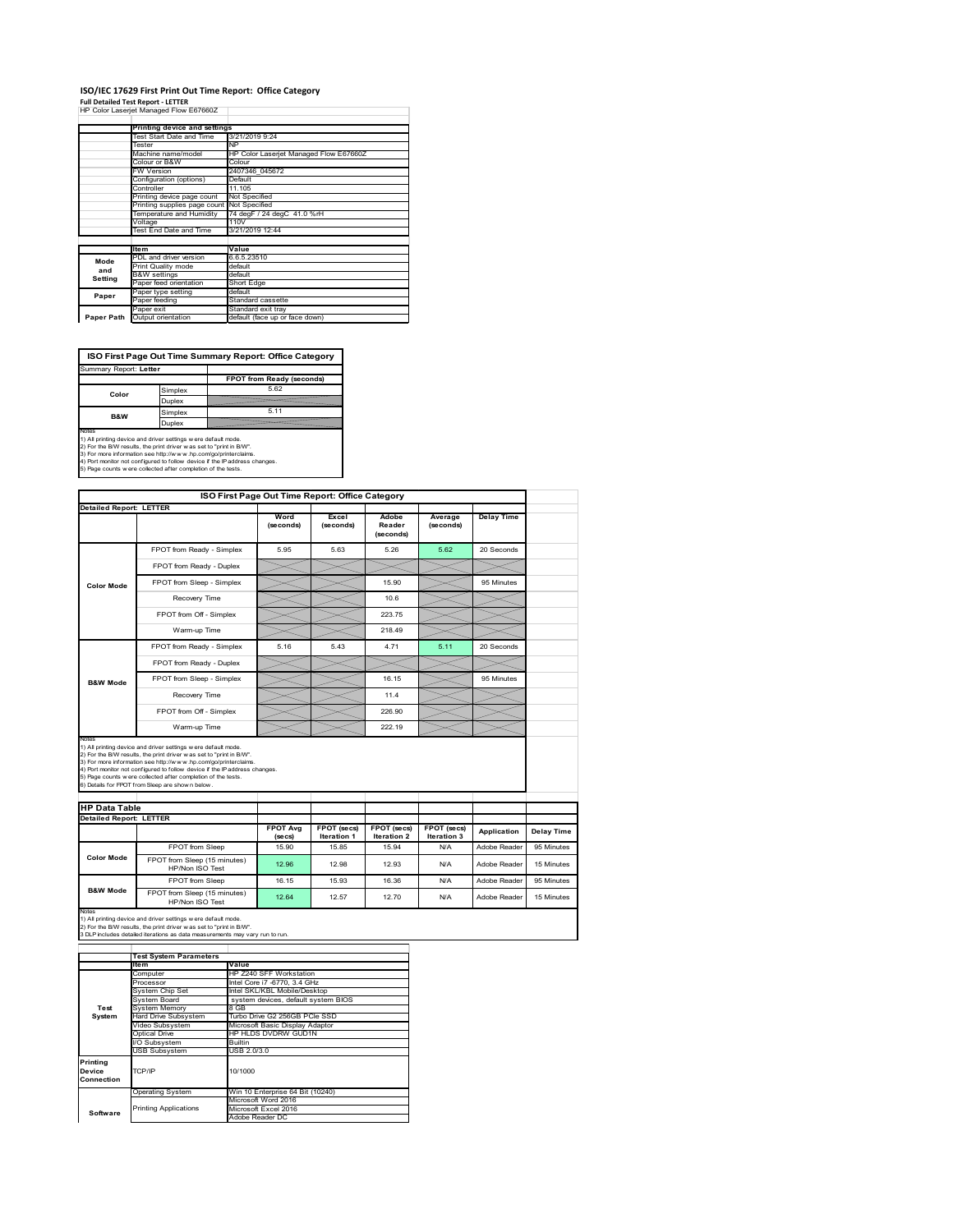## **ISO/IEC 17629 First Print Out Time Report: Office Category**

**Full Detailed Test Report ‐ LETTER** HP Color Laserjet Managed Flow E67660Z

|            | Printing device and settings               |                                        |
|------------|--------------------------------------------|----------------------------------------|
|            | Test Start Date and Time                   | 3/21/2019 9:24                         |
|            | Tester                                     | <b>NP</b>                              |
|            | Machine name/model                         | HP Color Laserjet Managed Flow E67660Z |
|            | Colour or B&W                              | Colour                                 |
|            | FW Version                                 | 2407346 045672                         |
|            | Configuration (options)                    | Default                                |
|            | Controller                                 | 11.105                                 |
|            | Printing device page count                 | Not Specified                          |
|            | Printing supplies page count Not Specified |                                        |
|            | Temperature and Humidity                   | 74 degF / 24 degC 41.0 %rH             |
|            | Voltage                                    | 110V                                   |
|            | Test End Date and Time                     | 3/21/2019 12:44                        |
|            |                                            |                                        |
|            | <b>Item</b>                                | Value                                  |
| Mode       | PDL and driver version                     | 6.6.5.23510                            |
| and        | Print Quality mode                         | default                                |
| Setting    | <b>B&amp;W</b> settings                    | default                                |
|            | Paper feed orientation                     | Short Edge                             |
| Paper      | Paper type setting                         | default                                |
|            | Paper feeding                              | Standard cassette                      |
|            | Paper exit                                 | Standard exit tray                     |
| Paper Path | Output orientation                         | default (face up or face down)         |

**ISO First Page Out Time Summary Report: Office Category**

| Summary Report: Letter   |         |                           |
|--------------------------|---------|---------------------------|
|                          |         | FPOT from Ready (seconds) |
| Color                    | Simplex | 5.62                      |
|                          | Duplex  |                           |
|                          | Simplex | 5.11                      |
| <b>B&amp;W</b><br>Duplex |         |                           |
| Notes                    |         |                           |

Notes<br>1) All printing device and driver settings were default mode.<br>2) For the BW results, the print driver was set to "print in BW".<br>3) For more information see http://www.hp.com/golprinterclaims.<br>4) Port montor not confi

|                                                        |                                                                                                                                                                                                                                                                                                                                                                                                             | ISO First Page Out Time Report: Office Category |                                   |                                   |                            |                   |
|--------------------------------------------------------|-------------------------------------------------------------------------------------------------------------------------------------------------------------------------------------------------------------------------------------------------------------------------------------------------------------------------------------------------------------------------------------------------------------|-------------------------------------------------|-----------------------------------|-----------------------------------|----------------------------|-------------------|
| <b>Detailed Report: LETTER</b>                         |                                                                                                                                                                                                                                                                                                                                                                                                             | Word<br>(seconds)                               | Excel<br>(seconds)                | Adobe<br>Reader<br>(seconds)      | Average<br>(seconds)       | <b>Delay Time</b> |
|                                                        | FPOT from Ready - Simplex                                                                                                                                                                                                                                                                                                                                                                                   | 5.95                                            | 5.63                              | 5.26                              | 5.62                       | 20 Seconds        |
|                                                        | FPOT from Ready - Duplex                                                                                                                                                                                                                                                                                                                                                                                    |                                                 |                                   |                                   |                            |                   |
| <b>Color Mode</b>                                      | FPOT from Sleep - Simplex                                                                                                                                                                                                                                                                                                                                                                                   |                                                 |                                   | 15.90                             |                            | 95 Minutes        |
|                                                        | Recovery Time                                                                                                                                                                                                                                                                                                                                                                                               |                                                 |                                   | 106                               |                            |                   |
|                                                        | FPOT from Off - Simplex                                                                                                                                                                                                                                                                                                                                                                                     |                                                 |                                   | 223.75                            |                            |                   |
|                                                        | Warm-up Time                                                                                                                                                                                                                                                                                                                                                                                                |                                                 |                                   | 218.49                            |                            |                   |
|                                                        | FPOT from Ready - Simplex                                                                                                                                                                                                                                                                                                                                                                                   | 5.16                                            | 543                               | 4 7 1                             | 5 11                       | 20 Seconds        |
|                                                        | FPOT from Ready - Duplex                                                                                                                                                                                                                                                                                                                                                                                    |                                                 |                                   |                                   |                            |                   |
| <b>B&amp;W Mode</b>                                    | FPOT from Sleep - Simplex                                                                                                                                                                                                                                                                                                                                                                                   |                                                 |                                   | 16.15                             |                            | 95 Minutes        |
|                                                        | Recovery Time                                                                                                                                                                                                                                                                                                                                                                                               |                                                 |                                   | 114                               |                            |                   |
|                                                        |                                                                                                                                                                                                                                                                                                                                                                                                             |                                                 |                                   |                                   |                            |                   |
|                                                        | FPOT from Off - Simplex                                                                                                                                                                                                                                                                                                                                                                                     |                                                 |                                   | 226.90                            |                            |                   |
|                                                        | Warm-up Time                                                                                                                                                                                                                                                                                                                                                                                                |                                                 |                                   | 222.19                            |                            |                   |
| Notes                                                  | 1) All printing device and driver settings w ere default mode.<br>2) For the B/W results, the print driver was set to "print in B/W".<br>3) For more information see http://www.hp.com/go/printerclaims.<br>4) Port monitor not configured to follow device if the IP address changes.<br>5) Page counts w ere collected after completion of the tests.<br>6) Details for FPOT from Sleep are show n below. |                                                 |                                   |                                   |                            |                   |
|                                                        |                                                                                                                                                                                                                                                                                                                                                                                                             |                                                 |                                   |                                   |                            |                   |
| <b>HP Data Table</b><br><b>Detailed Report: LETTER</b> |                                                                                                                                                                                                                                                                                                                                                                                                             | <b>FPOT Avg</b><br>(se cs)                      | FPOT (secs)<br><b>Iteration 1</b> | FPOT (secs)<br><b>Iteration 2</b> | FPOT (secs)<br>Iteration 3 | Application       |
|                                                        | <b>FPOT from Sleep</b>                                                                                                                                                                                                                                                                                                                                                                                      | 15.90                                           | 1585                              | 15.94                             | N/A                        | Adobe Reader      |
| <b>Color Mode</b>                                      | FPOT from Sleep (15 minutes)<br>HP/Non ISO Test                                                                                                                                                                                                                                                                                                                                                             | 12.96                                           | 12.98                             | 12.93                             | N/A                        | Adobe Reader      |
| <b>B&amp;W Mode</b>                                    | FPOT from Sleep                                                                                                                                                                                                                                                                                                                                                                                             | 16.15                                           | 15 93                             | 16.36                             | N/A                        | Adobe Reader      |

Notes<br>1) All printing device and driver settings w ere default mode.<br>2) For the B/W results, the print driver w as set to "print in B/W".<br>3 DLP includes detailed iterations as data measurements may vary run to run.

| <b>Item</b>          | Value                                                                                                     |  |  |  |
|----------------------|-----------------------------------------------------------------------------------------------------------|--|--|--|
| Computer             | HP Z240 SFF Workstation                                                                                   |  |  |  |
| Processor            | Intel Core i7 -6770, 3.4 GHz                                                                              |  |  |  |
| System Chip Set      | Intel SKL/KBL Mobile/Desktop                                                                              |  |  |  |
| System Board         | system devices, default system BIOS                                                                       |  |  |  |
| <b>System Memory</b> | 8 GB                                                                                                      |  |  |  |
| Hard Drive Subsystem | Turbo Drive G2 256GB PCle SSD                                                                             |  |  |  |
| Video Subsystem      | Microsoft Basic Display Adaptor                                                                           |  |  |  |
| Optical Drive        | HP HLDS DVDRW GUD1N                                                                                       |  |  |  |
| I/O Subsvstem        | <b>Builtin</b>                                                                                            |  |  |  |
|                      | USB 2.0/3.0                                                                                               |  |  |  |
|                      |                                                                                                           |  |  |  |
| TCP/IP               | 10/1000                                                                                                   |  |  |  |
|                      |                                                                                                           |  |  |  |
|                      | Win 10 Enterprise 64 Bit (10240)                                                                          |  |  |  |
|                      | Microsoft Word 2016                                                                                       |  |  |  |
|                      | Microsoft Excel 2016                                                                                      |  |  |  |
|                      | Adobe Reader DC                                                                                           |  |  |  |
|                      | <b>Test System Parameters</b><br>USB Subsystem<br><b>Operating System</b><br><b>Printing Applications</b> |  |  |  |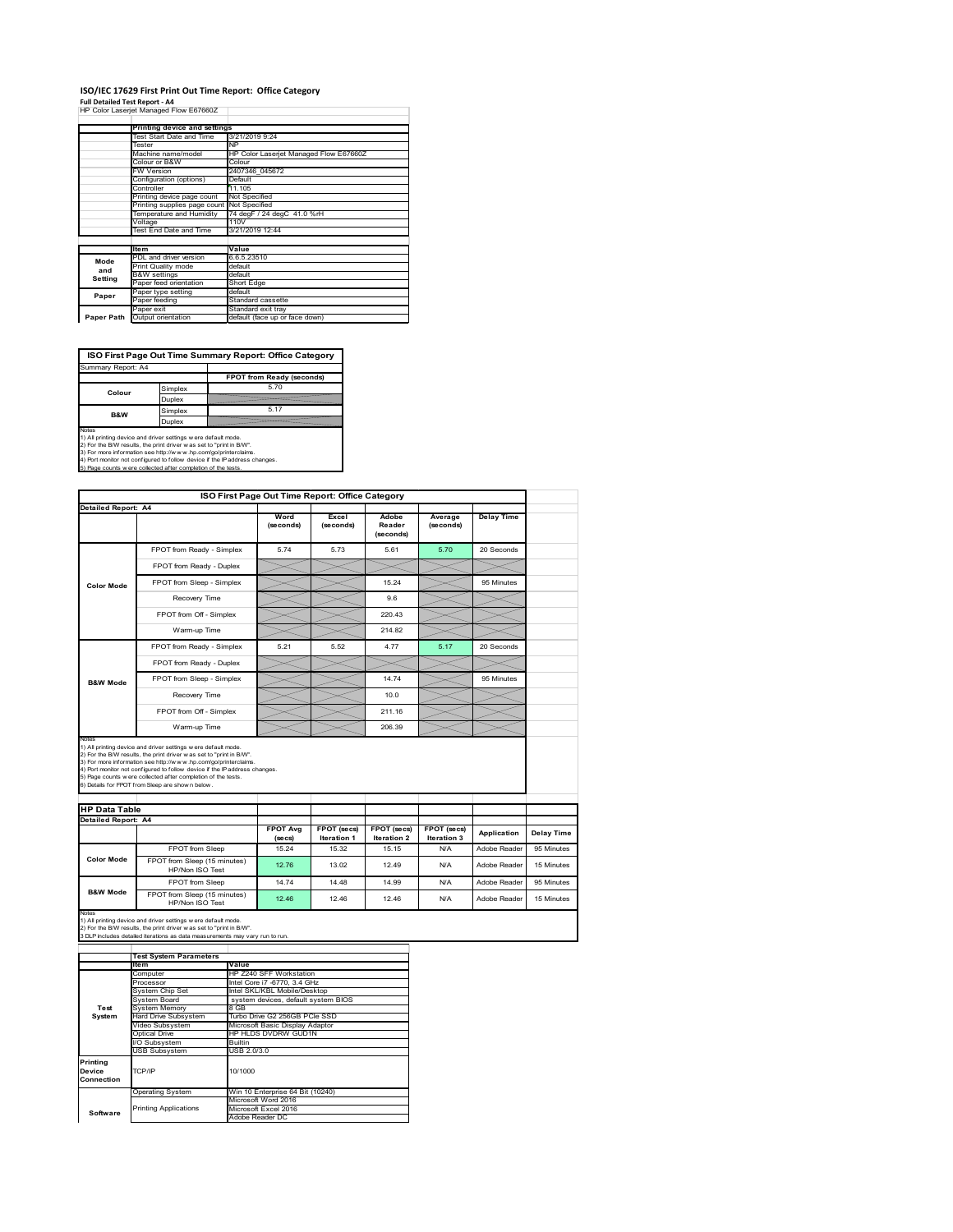## **ISO/IEC 17629 First Print Out Time Report: Office Category**

**Full Detailed Test Report ‐ A4** HP Color Laserjet Managed Flow E67660Z

|            | Printing device and settings               |                                        |
|------------|--------------------------------------------|----------------------------------------|
|            | Test Start Date and Time                   | 3/21/2019 9:24                         |
|            | Tester                                     | <b>NP</b>                              |
|            | Machine name/model                         | HP Color Laserjet Managed Flow E67660Z |
|            | Colour or B&W                              | Colour                                 |
|            | FW Version                                 | 2407346 045672                         |
|            | Configuration (options)                    | Default                                |
|            | Controller                                 | 11.105                                 |
|            | Printing device page count                 | Not Specified                          |
|            | Printing supplies page count Not Specified |                                        |
|            | Temperature and Humidity                   | 74 degF / 24 degC 41.0 %rH             |
|            | Voltage                                    | 110V                                   |
|            | Test End Date and Time                     | 3/21/2019 12:44                        |
|            |                                            |                                        |
|            | <b>Item</b>                                | Value                                  |
| Mode       | PDL and driver version                     | 6.6.5.23510                            |
| and        | Print Quality mode                         | default                                |
| Setting    | <b>B&amp;W</b> settings                    | default                                |
|            | Paper feed orientation                     | Short Edge                             |
| Paper      | Paper type setting                         | default                                |
|            | Paper feeding                              | Standard cassette                      |
|            | Paper exit                                 | Standard exit tray                     |
| Paper Path | Output orientation                         | default (face up or face down)         |

**ISO First Page Out Time Summary Report: Office Category**

| Summary Report: A4 |                           |
|--------------------|---------------------------|
|                    | FPOT from Ready (seconds) |
| Simplex            | 5.70                      |
| Duplex             |                           |
| Simplex            | 5.17                      |
| Duplex             |                           |
|                    |                           |

Notes<br>1) All printing device and driver settings were default mode.<br>2) For the BAV results, the print driver was set to "print in BAV".<br>3) For more information see http://www.hp.com/golprinterclaims.<br>4) Port monitor not co

| ISO First Page Out Time Report: Office Category             |                                                                                                                                                                                                                                                                                                                                                                                                             |                   |                    |                              |                      |                   |
|-------------------------------------------------------------|-------------------------------------------------------------------------------------------------------------------------------------------------------------------------------------------------------------------------------------------------------------------------------------------------------------------------------------------------------------------------------------------------------------|-------------------|--------------------|------------------------------|----------------------|-------------------|
| Detailed Report: A4                                         |                                                                                                                                                                                                                                                                                                                                                                                                             | Word<br>(seconds) | Excel<br>(seconds) | Adobe<br>Reader<br>(seconds) | Average<br>(seconds) | <b>Delay Time</b> |
|                                                             | FPOT from Ready - Simplex                                                                                                                                                                                                                                                                                                                                                                                   | 574               | 573                | 5.61                         | 5.70                 | 20 Seconds        |
| Color Mode                                                  | FPOT from Ready - Duplex                                                                                                                                                                                                                                                                                                                                                                                    |                   |                    |                              |                      |                   |
|                                                             | FPOT from Sleep - Simplex                                                                                                                                                                                                                                                                                                                                                                                   |                   |                    | 15.24                        |                      | 95 Minutes        |
|                                                             | Recovery Time                                                                                                                                                                                                                                                                                                                                                                                               |                   |                    | 9.6                          |                      |                   |
|                                                             | FPOT from Off - Simplex                                                                                                                                                                                                                                                                                                                                                                                     |                   |                    | 220.43                       |                      |                   |
|                                                             | Warm-up Time                                                                                                                                                                                                                                                                                                                                                                                                |                   |                    | 214.82                       |                      |                   |
|                                                             | FPOT from Ready - Simplex                                                                                                                                                                                                                                                                                                                                                                                   | 5.21              | 5.52               | 4.77                         | 5.17                 | 20 Seconds        |
|                                                             | FPOT from Ready - Duplex                                                                                                                                                                                                                                                                                                                                                                                    |                   |                    |                              |                      |                   |
| <b>B&amp;W Mode</b>                                         | FPOT from Sleep - Simplex                                                                                                                                                                                                                                                                                                                                                                                   |                   |                    | 14.74                        |                      | 95 Minutes        |
|                                                             | Recovery Time                                                                                                                                                                                                                                                                                                                                                                                               |                   |                    | 10.0                         |                      |                   |
|                                                             |                                                                                                                                                                                                                                                                                                                                                                                                             |                   |                    |                              |                      |                   |
|                                                             | FPOT from Off - Simplex                                                                                                                                                                                                                                                                                                                                                                                     |                   |                    | 211.16                       |                      |                   |
|                                                             | Warm-up Time                                                                                                                                                                                                                                                                                                                                                                                                |                   |                    | 206.39                       |                      |                   |
| Notes<br><b>HP Data Table</b><br><b>Detailed Report: A4</b> | 1) All printing device and driver settings w ere default mode.<br>2) For the B/W results, the print driver was set to "print in B/W".<br>3) For more information see http://www.hp.com/go/printerclaims.<br>4) Port monitor not configured to follow device if the IP address changes.<br>5) Page counts w ere collected after completion of the tests.<br>6) Details for FPOT from Sleep are show n below. | <b>FPOT Avg</b>   | FPOT (secs)        | FPOT (secs)                  | FPOT (secs)          |                   |
|                                                             |                                                                                                                                                                                                                                                                                                                                                                                                             | (se cs)           | <b>Iteration 1</b> | <b>Iteration 2</b>           | Iteration 3          | Application       |
| Color Mode                                                  | FPOT from Sleep<br>FPOT from Sleep (15 minutes)                                                                                                                                                                                                                                                                                                                                                             | 15.24             | 15.32              | 15.15                        | N/A                  | Adobe Reader      |
|                                                             | HP/Non ISO Test                                                                                                                                                                                                                                                                                                                                                                                             | 12.76             | 13.02              | 12 49                        | N/A                  | Adobe Reader      |
| <b>B&amp;W Mode</b>                                         | FPOT from Sleep<br>FPOT from Sleep (15 minutes)                                                                                                                                                                                                                                                                                                                                                             | 14.74             | 14.48              | 14.99                        | N/A                  | Adobe Reader      |

|            | <b>Test System Parameters</b> |                                     |  |  |
|------------|-------------------------------|-------------------------------------|--|--|
|            | Ite <sub>m</sub>              | Value                               |  |  |
|            | Computer                      | HP Z240 SFF Workstation             |  |  |
|            | Processor                     | Intel Core i7 -6770, 3.4 GHz        |  |  |
|            | System Chip Set               | Intel SKL/KBL Mobile/Desktop        |  |  |
|            | System Board                  | system devices, default system BIOS |  |  |
| Test       | <b>System Memory</b>          | 8 GB                                |  |  |
| System     | Hard Drive Subsystem          | Turbo Drive G2 256GB PCle SSD       |  |  |
|            | Video Subsystem               | Microsoft Basic Display Adaptor     |  |  |
|            | Optical Drive                 | HP HLDS DVDRW GUD1N                 |  |  |
|            | I/O Subsystem                 | <b>Builtin</b>                      |  |  |
|            | <b>USB Subsystem</b>          | USB 2.0/3.0                         |  |  |
| Printing   |                               |                                     |  |  |
| Device     | TCP/IP                        | 10/1000                             |  |  |
| Connection |                               |                                     |  |  |
|            |                               |                                     |  |  |
|            | <b>Operating System</b>       | Win 10 Enterprise 64 Bit (10240)    |  |  |
|            |                               | Microsoft Word 2016                 |  |  |
| Software   | <b>Printing Applications</b>  | Microsoft Excel 2016                |  |  |
|            |                               | Adobe Reader DC                     |  |  |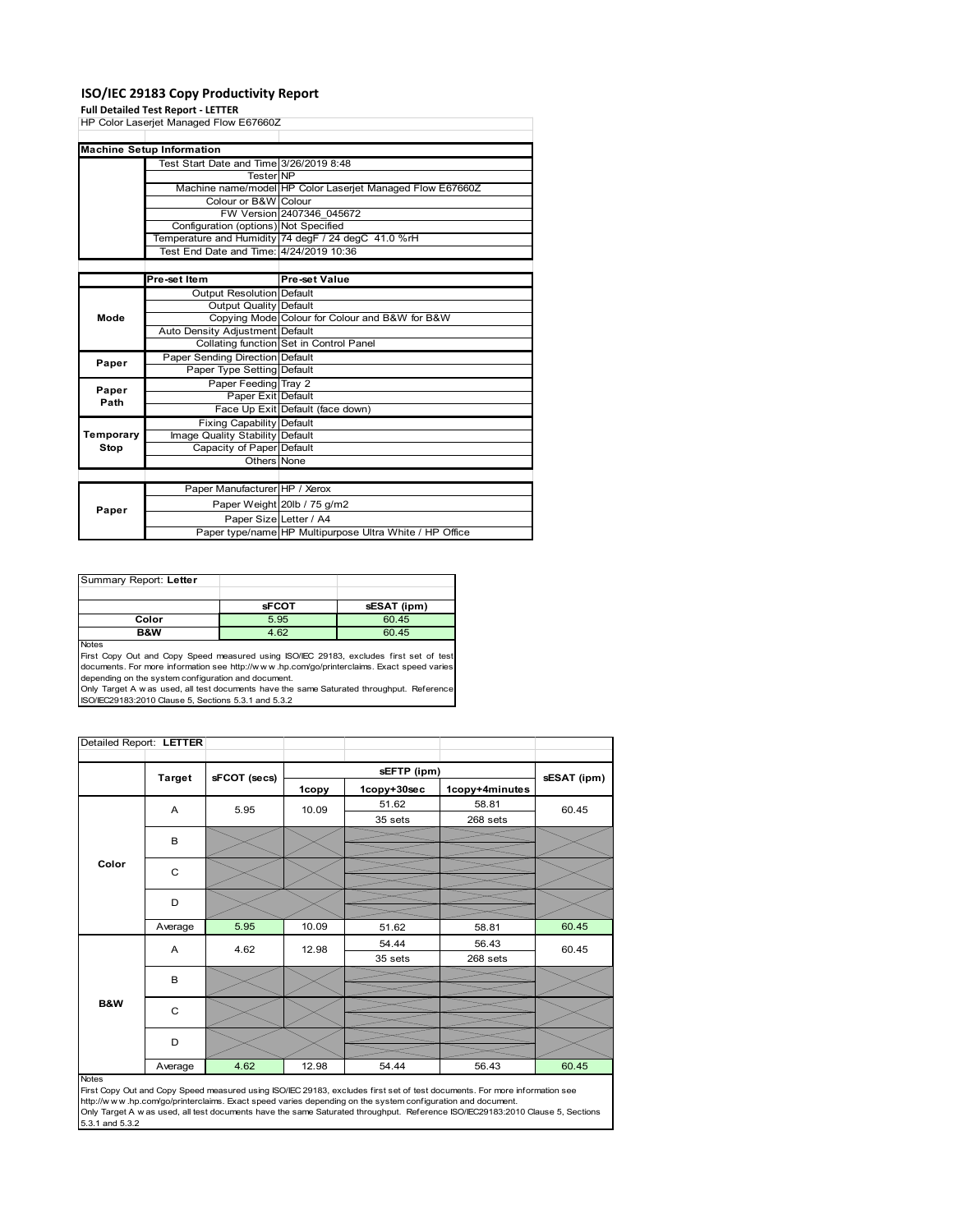#### **ISO/IEC 29183 Copy Productivity Report**

#### **Full Detailed Test Report ‐ LETTER**

|           | HP Color Laserjet Managed Flow E67660Z  |                                                           |
|-----------|-----------------------------------------|-----------------------------------------------------------|
|           |                                         |                                                           |
|           | <b>Machine Setup Information</b>        |                                                           |
|           | Test Start Date and Time 3/26/2019 8:48 |                                                           |
|           | Tester NP                               |                                                           |
|           |                                         | Machine name/model HP Color Laserjet Managed Flow E67660Z |
|           | Colour or B&W Colour                    |                                                           |
|           |                                         | FW Version 2407346 045672                                 |
|           | Configuration (options) Not Specified   |                                                           |
|           |                                         | Temperature and Humidity 74 degF / 24 degC 41.0 %rH       |
|           | Test End Date and Time: 4/24/2019 10:36 |                                                           |
|           |                                         |                                                           |
|           | Pre-set Item                            | Pre-set Value                                             |
|           | Output Resolution Default               |                                                           |
|           | Output Quality Default                  |                                                           |
| Mode      |                                         | Copying Mode Colour for Colour and B&W for B&W            |
|           | Auto Density Adjustment Default         |                                                           |
|           |                                         | Collating function Set in Control Panel                   |
| Paper     | Paper Sending Direction Default         |                                                           |
|           | Paper Type Setting Default              |                                                           |
| Paper     | Paper Feeding Tray 2                    |                                                           |
| Path      | Paper Exit Default                      |                                                           |
|           |                                         | Face Up Exit Default (face down)                          |
|           | <b>Fixing Capability Default</b>        |                                                           |
| Temporary | Image Quality Stability Default         |                                                           |
| Stop      | Capacity of Paper Default               |                                                           |
|           | Others None                             |                                                           |
|           |                                         |                                                           |
|           | Paper Manufacturer HP / Xerox           |                                                           |
|           |                                         | Paper Weight 20lb / 75 g/m2                               |
| Paper     | Paper Size Letter / A4                  |                                                           |
|           |                                         | Paper type/name HP Multipurpose Ultra White / HP Office   |

| Summary Report: Letter |              |             |
|------------------------|--------------|-------------|
|                        |              |             |
|                        | <b>sFCOT</b> | sESAT (ipm) |
| Color                  | 5.95         | 60.45       |
| B&W                    | 4.62         | 60.45       |

Notes First Copy Out and Copy Speed measured using ISO/IEC 29183, excludes first set of test documents. For more information see http://w w w .hp.com/go/printerclaims. Exact speed varies

depending on the system configuration and document.<br>Only Target A w as used, all test documents have the same Saturated throughput. Reference<br>ISO/IEC29183:2010 Clause 5, Sections 5.3.1 and 5.3.2

| Detailed Report: LETTER |                |              |       |             |                |             |  |
|-------------------------|----------------|--------------|-------|-------------|----------------|-------------|--|
|                         | <b>Target</b>  | sFCOT (secs) |       | sEFTP (ipm) |                |             |  |
|                         |                |              | 1copy | 1copy+30sec | 1copy+4minutes | sESAT (ipm) |  |
|                         | $\overline{A}$ | 5.95         | 10.09 | 51.62       | 58.81          | 60.45       |  |
|                         |                |              |       | 35 sets     | 268 sets       |             |  |
|                         | B              |              |       |             |                |             |  |
|                         |                |              |       |             |                |             |  |
| Color                   | C              |              |       |             |                |             |  |
|                         |                |              |       |             |                |             |  |
|                         | D              |              |       |             |                |             |  |
|                         | Average        | 5.95         | 10.09 | 51.62       | 58.81          | 60.45       |  |
|                         | A              | 4.62         | 12.98 | 54.44       | 56.43          | 60.45       |  |
|                         |                |              |       | 35 sets     | 268 sets       |             |  |
|                         | B              |              |       |             |                |             |  |
|                         |                |              |       |             |                |             |  |
| B&W                     | C              |              |       |             |                |             |  |
|                         | D              |              |       |             |                |             |  |
|                         | Average        | 4.62         | 12.98 | 54.44       | 56.43          | 60.45       |  |

#### Notes

First Copy Out and Copy Speed measured using ISO/IEC 29183, excludes first set of test documents. For more information see<br>http://w w w.hp.com/go/printerclaims. Exact speed varies depending on the system configuration and 5.3.1 and 5.3.2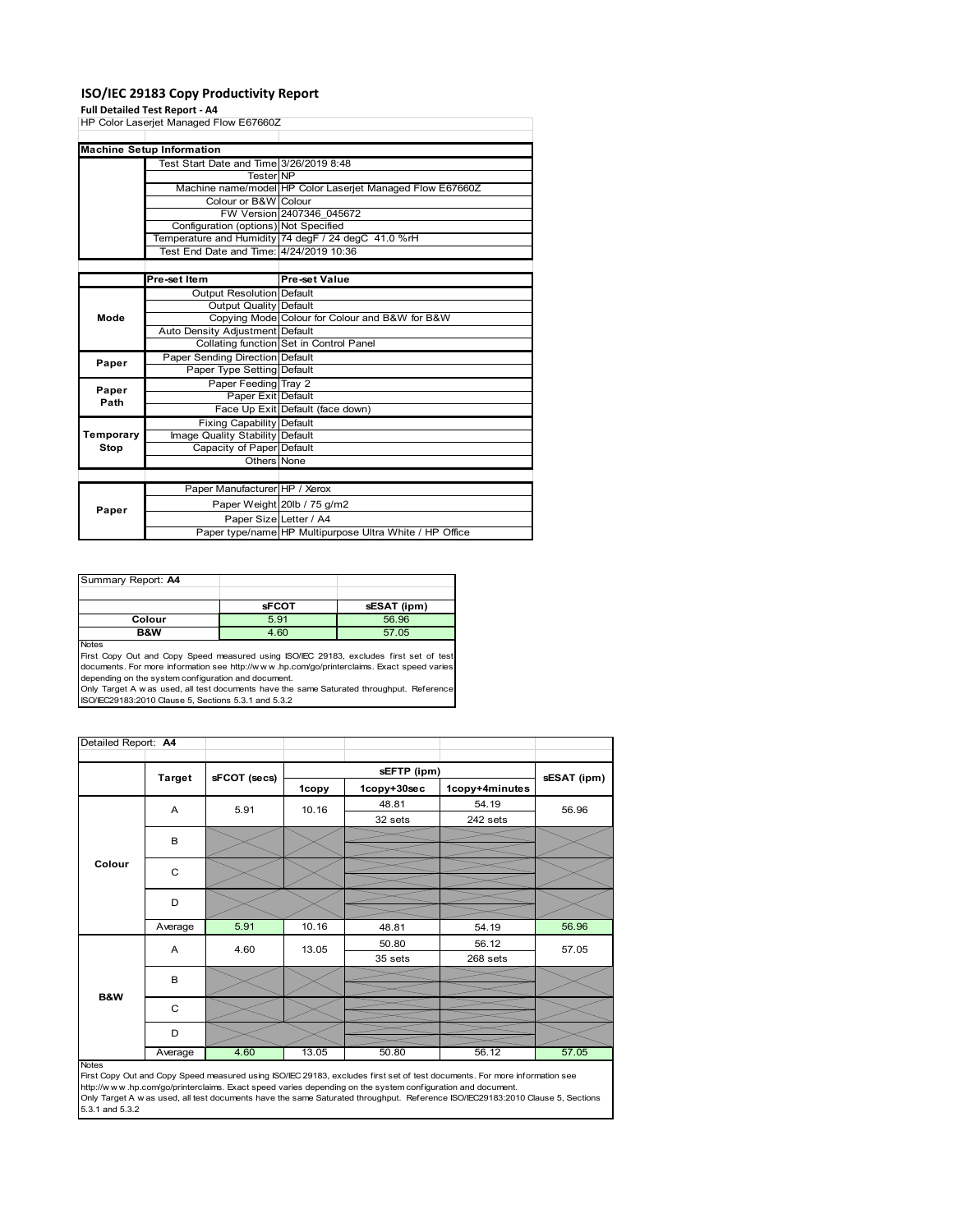#### **ISO/IEC 29183 Copy Productivity Report**

#### **Full Detailed Test Report ‐ A4**

| HP Color Laserjet Managed Flow E67660Z |                                         |                                                           |  |  |
|----------------------------------------|-----------------------------------------|-----------------------------------------------------------|--|--|
|                                        |                                         |                                                           |  |  |
|                                        | <b>Machine Setup Information</b>        |                                                           |  |  |
|                                        | Test Start Date and Time 3/26/2019 8:48 |                                                           |  |  |
|                                        | <b>Tester NP</b>                        |                                                           |  |  |
|                                        |                                         | Machine name/model HP Color Laserjet Managed Flow E67660Z |  |  |
|                                        | Colour or B&W Colour                    |                                                           |  |  |
|                                        |                                         | FW Version 2407346 045672                                 |  |  |
|                                        | Configuration (options) Not Specified   |                                                           |  |  |
|                                        |                                         | Temperature and Humidity 74 degF / 24 degC 41.0 %rH       |  |  |
|                                        | Test End Date and Time: 4/24/2019 10:36 |                                                           |  |  |
|                                        |                                         |                                                           |  |  |
|                                        | Pre-set Item                            | <b>Pre-set Value</b>                                      |  |  |
|                                        | <b>Output Resolution Default</b>        |                                                           |  |  |
|                                        | Output Quality Default                  |                                                           |  |  |
| Mode                                   |                                         | Copying Mode Colour for Colour and B&W for B&W            |  |  |
|                                        | Auto Density Adjustment Default         |                                                           |  |  |
|                                        |                                         | Collating function Set in Control Panel                   |  |  |
| Paper                                  | Paper Sending Direction Default         |                                                           |  |  |
|                                        | Paper Type Setting Default              |                                                           |  |  |
| Paper                                  | Paper Feeding Tray 2                    |                                                           |  |  |
| Path                                   | Paper Exit Default                      |                                                           |  |  |
|                                        |                                         | Face Up Exit Default (face down)                          |  |  |
|                                        | <b>Fixing Capability Default</b>        |                                                           |  |  |
| Temporary                              | Image Quality Stability Default         |                                                           |  |  |
| Stop                                   | Capacity of Paper Default               |                                                           |  |  |
|                                        | Others None                             |                                                           |  |  |
|                                        |                                         |                                                           |  |  |
|                                        | Paper Manufacturer HP / Xerox           |                                                           |  |  |
| Paper                                  |                                         | Paper Weight 20lb / 75 g/m2                               |  |  |
|                                        | Paper Size Letter / A4                  |                                                           |  |  |
|                                        |                                         | Paper type/name HP Multipurpose Ultra White / HP Office   |  |  |

| Summary Report: A4 |              |             |
|--------------------|--------------|-------------|
|                    |              |             |
|                    | <b>SFCOT</b> | sESAT (ipm) |
| Colour             | 5.91         | 56.96       |
| <b>B&amp;W</b>     | 4.60         | 57.05       |

Notes<br>First Copy Out and Copy Speed measured using ISO/IEC 29183, excludes first set of test<br>documents. For more information see http://www..hp.com/go/printerclaims. Exact speed varies

depending on the system configuration and document.<br>Only Target A w as used, all test documents have the same Saturated throughput. Reference<br>ISO/IEC29183:2010 Clause 5, Sections 5.3.1 and 5.3.2

| Detailed Report: A4 |               |              |       |             |                |             |
|---------------------|---------------|--------------|-------|-------------|----------------|-------------|
|                     |               |              |       | sEFTP (ipm) |                |             |
|                     | <b>Target</b> | sFCOT (secs) | 1copy | 1copy+30sec | 1copy+4minutes | sESAT (ipm) |
|                     | A             | 5.91         | 10.16 | 48.81       | 54.19          | 56.96       |
|                     |               |              |       | 32 sets     | 242 sets       |             |
|                     | B             |              |       |             |                |             |
| Colour              |               |              |       |             |                |             |
|                     | C             |              |       |             |                |             |
|                     |               |              |       |             |                |             |
|                     | D             |              |       |             |                |             |
|                     |               |              |       |             |                |             |
|                     | Average       | 5.91         | 10.16 | 48.81       | 54.19          | 56.96       |
|                     | A             | 4.60         | 13.05 | 50.80       | 56.12          | 57.05       |
|                     |               |              |       | 35 sets     | 268 sets       |             |
|                     | B             |              |       |             |                |             |
| B&W                 |               |              |       |             |                |             |
|                     | C             |              |       |             |                |             |
|                     |               |              |       |             |                |             |
|                     | D             |              |       |             |                |             |
|                     | Average       | 4.60         | 13.05 | 50.80       | 56.12          | 57.05       |

http://w.w.w.hp.com/go/printerclaims. Exact speed varies depending on the system configuration and document.<br>Only Target A w as used, all test documents have the same Saturated throughput. Reference ISO/IEC29183:2010 Clau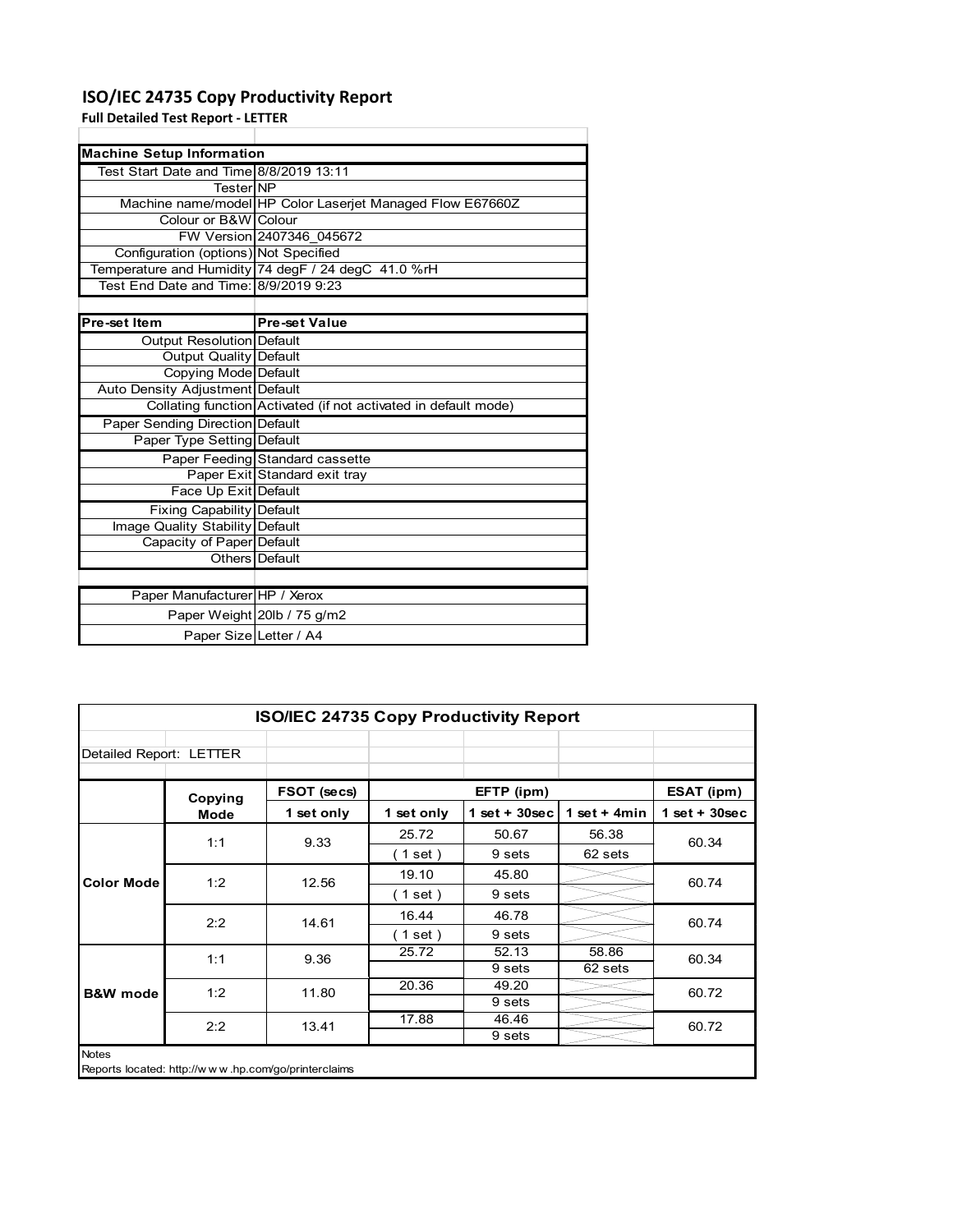### **ISO/IEC 24735 Copy Productivity Report**

**Full Detailed Test Report ‐ LETTER**

|                                         | <b>Machine Setup Information</b>                                |  |  |  |  |  |  |
|-----------------------------------------|-----------------------------------------------------------------|--|--|--|--|--|--|
| Test Start Date and Time 8/8/2019 13:11 |                                                                 |  |  |  |  |  |  |
| <b>TesterINP</b>                        |                                                                 |  |  |  |  |  |  |
|                                         | Machine name/model HP Color Laserjet Managed Flow E67660Z       |  |  |  |  |  |  |
| Colour or B&W Colour                    |                                                                 |  |  |  |  |  |  |
|                                         | FW Version 2407346 045672                                       |  |  |  |  |  |  |
| Configuration (options) Not Specified   |                                                                 |  |  |  |  |  |  |
|                                         | Temperature and Humidity 74 degF / 24 degC 41.0 %rH             |  |  |  |  |  |  |
| Test End Date and Time: 8/9/2019 9:23   |                                                                 |  |  |  |  |  |  |
|                                         |                                                                 |  |  |  |  |  |  |
| Pre-set Item                            | <b>Pre-set Value</b>                                            |  |  |  |  |  |  |
| Output Resolution Default               |                                                                 |  |  |  |  |  |  |
| <b>Output Quality Default</b>           |                                                                 |  |  |  |  |  |  |
| Copying Mode Default                    |                                                                 |  |  |  |  |  |  |
| Auto Density Adjustment Default         |                                                                 |  |  |  |  |  |  |
|                                         | Collating function Activated (if not activated in default mode) |  |  |  |  |  |  |
| Paper Sending Direction Default         |                                                                 |  |  |  |  |  |  |
| Paper Type Setting Default              |                                                                 |  |  |  |  |  |  |
|                                         | Paper Feeding Standard cassette                                 |  |  |  |  |  |  |
|                                         | Paper Exit Standard exit tray                                   |  |  |  |  |  |  |
| Face Up Exit Default                    |                                                                 |  |  |  |  |  |  |
| <b>Fixing Capability Default</b>        |                                                                 |  |  |  |  |  |  |
| Image Quality Stability Default         |                                                                 |  |  |  |  |  |  |
| Capacity of Paper Default               |                                                                 |  |  |  |  |  |  |
|                                         | Others Default                                                  |  |  |  |  |  |  |
|                                         |                                                                 |  |  |  |  |  |  |
| Paper Manufacturer HP / Xerox           |                                                                 |  |  |  |  |  |  |
|                                         | Paper Weight 20lb / 75 g/m2                                     |  |  |  |  |  |  |
| Paper Size Letter / A4                  |                                                                 |  |  |  |  |  |  |

|                         | <b>ISO/IEC 24735 Copy Productivity Report</b>       |             |            |                  |                |                 |  |  |
|-------------------------|-----------------------------------------------------|-------------|------------|------------------|----------------|-----------------|--|--|
| Detailed Report: LETTER |                                                     |             |            |                  |                |                 |  |  |
|                         | Copying                                             | FSOT (secs) |            | EFTP (ipm)       |                | ESAT (ipm)      |  |  |
|                         | <b>Mode</b>                                         | 1 set only  | 1 set only | 1 set + $30$ sec | 1 set + $4min$ | $1$ set + 30sec |  |  |
|                         | 1:1                                                 | 9.33        | 25.72      | 50.67            | 56.38          | 60.34           |  |  |
|                         |                                                     |             | (1 set)    | 9 sets           | 62 sets        |                 |  |  |
| <b>Color Mode</b>       | 1:2                                                 | 12.56       | 19.10      | 45.80            |                | 60.74           |  |  |
|                         |                                                     |             | (1 set)    | 9 sets           |                |                 |  |  |
|                         | 2:2                                                 | 14.61       | 16.44      | 46.78            |                | 60.74           |  |  |
|                         |                                                     |             | (1 set )   | 9 sets           |                |                 |  |  |
|                         | 1:1                                                 | 9.36        | 25.72      | 52.13            | 58.86          | 60.34           |  |  |
|                         |                                                     |             |            | 9 sets           | 62 sets        |                 |  |  |
| <b>B&amp;W</b> mode     | 1:2                                                 | 11.80       | 20.36      | 49.20            |                | 60.72           |  |  |
|                         |                                                     |             |            | 9 sets           |                |                 |  |  |
|                         | 2:2                                                 | 13.41       | 17.88      | 46.46            |                | 60.72           |  |  |
|                         |                                                     |             |            | 9 sets           |                |                 |  |  |
| <b>Notes</b>            | Reports located: http://www.hp.com/go/printerclaims |             |            |                  |                |                 |  |  |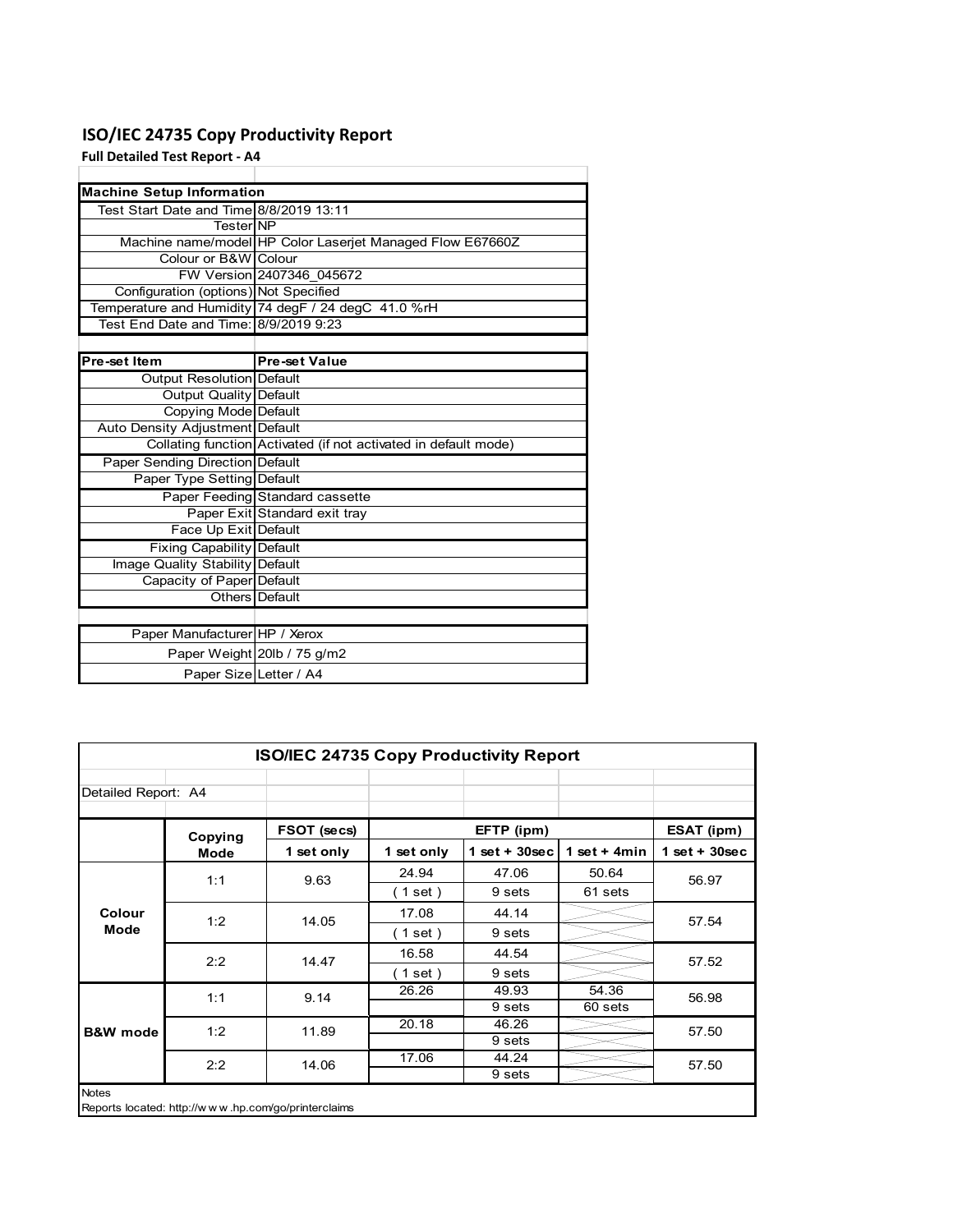### **ISO/IEC 24735 Copy Productivity Report**

**Full Detailed Test Report ‐ A4**

| <b>Machine Setup Information</b>        |                                                                 |
|-----------------------------------------|-----------------------------------------------------------------|
| Test Start Date and Time 8/8/2019 13:11 |                                                                 |
| TesterINP                               |                                                                 |
|                                         | Machine name/model HP Color Laserjet Managed Flow E67660Z       |
| Colour or B&W Colour                    |                                                                 |
|                                         | FW Version 2407346 045672                                       |
| Configuration (options) Not Specified   |                                                                 |
|                                         | Temperature and Humidity 74 degF / 24 degC 41.0 %rH             |
| Test End Date and Time: 8/9/2019 9:23   |                                                                 |
|                                         |                                                                 |
| Pre-set Item                            | <b>Pre-set Value</b>                                            |
| Output Resolution Default               |                                                                 |
| <b>Output Quality Default</b>           |                                                                 |
| Copying Mode Default                    |                                                                 |
| Auto Density Adjustment Default         |                                                                 |
|                                         | Collating function Activated (if not activated in default mode) |
| <b>Paper Sending Direction Default</b>  |                                                                 |
| Paper Type Setting Default              |                                                                 |
|                                         | Paper Feeding Standard cassette                                 |
|                                         | Paper Exit Standard exit tray                                   |
| Face Up Exit Default                    |                                                                 |
| <b>Fixing Capability Default</b>        |                                                                 |
| Image Quality Stability Default         |                                                                 |
| Capacity of Paper Default               |                                                                 |
|                                         | Others Default                                                  |
|                                         |                                                                 |
| Paper Manufacturer HP / Xerox           |                                                                 |
|                                         | Paper Weight 20lb / 75 g/m2                                     |
| Paper Size Letter / A4                  |                                                                 |

| <b>ISO/IEC 24735 Copy Productivity Report</b>                       |             |             |            |                 |                 |                 |  |
|---------------------------------------------------------------------|-------------|-------------|------------|-----------------|-----------------|-----------------|--|
| Detailed Report: A4                                                 |             |             |            |                 |                 |                 |  |
|                                                                     | Copying     | FSOT (secs) |            | EFTP (ipm)      |                 | ESAT (ipm)      |  |
|                                                                     | <b>Mode</b> | 1 set only  | 1 set only | $1$ set + 30sec | 1 set + 4 $min$ | $1$ set + 30sec |  |
| Colour                                                              | 1:1         | 9.63        | 24.94      | 47.06           | 50.64           | 56.97           |  |
|                                                                     |             |             | (1 set)    | 9 sets          | 61 sets         |                 |  |
|                                                                     | 1:2         | 14.05       | 17.08      | 44.14           |                 | 57.54           |  |
| Mode                                                                |             |             | (1 set)    | 9 sets          |                 |                 |  |
|                                                                     | 2:2         | 14.47       | 16.58      | 44.54           |                 | 57.52           |  |
|                                                                     |             |             | (1 set)    | 9 sets          |                 |                 |  |
|                                                                     | 1:1         | 9.14        | 26.26      | 49.93           | 54.36           | 56.98           |  |
|                                                                     |             |             |            | 9 sets          | 60 sets         |                 |  |
| <b>B&amp;W</b> mode                                                 | 1:2         | 11.89       | 20.18      | 46.26           |                 | 57.50           |  |
|                                                                     |             |             |            | 9 sets          |                 |                 |  |
|                                                                     | 2:2         | 14.06       | 17.06      | 44.24           |                 | 57.50           |  |
|                                                                     |             |             |            | 9 sets          |                 |                 |  |
| <b>Notes</b><br>Reports located: http://www.hp.com/go/printerclaims |             |             |            |                 |                 |                 |  |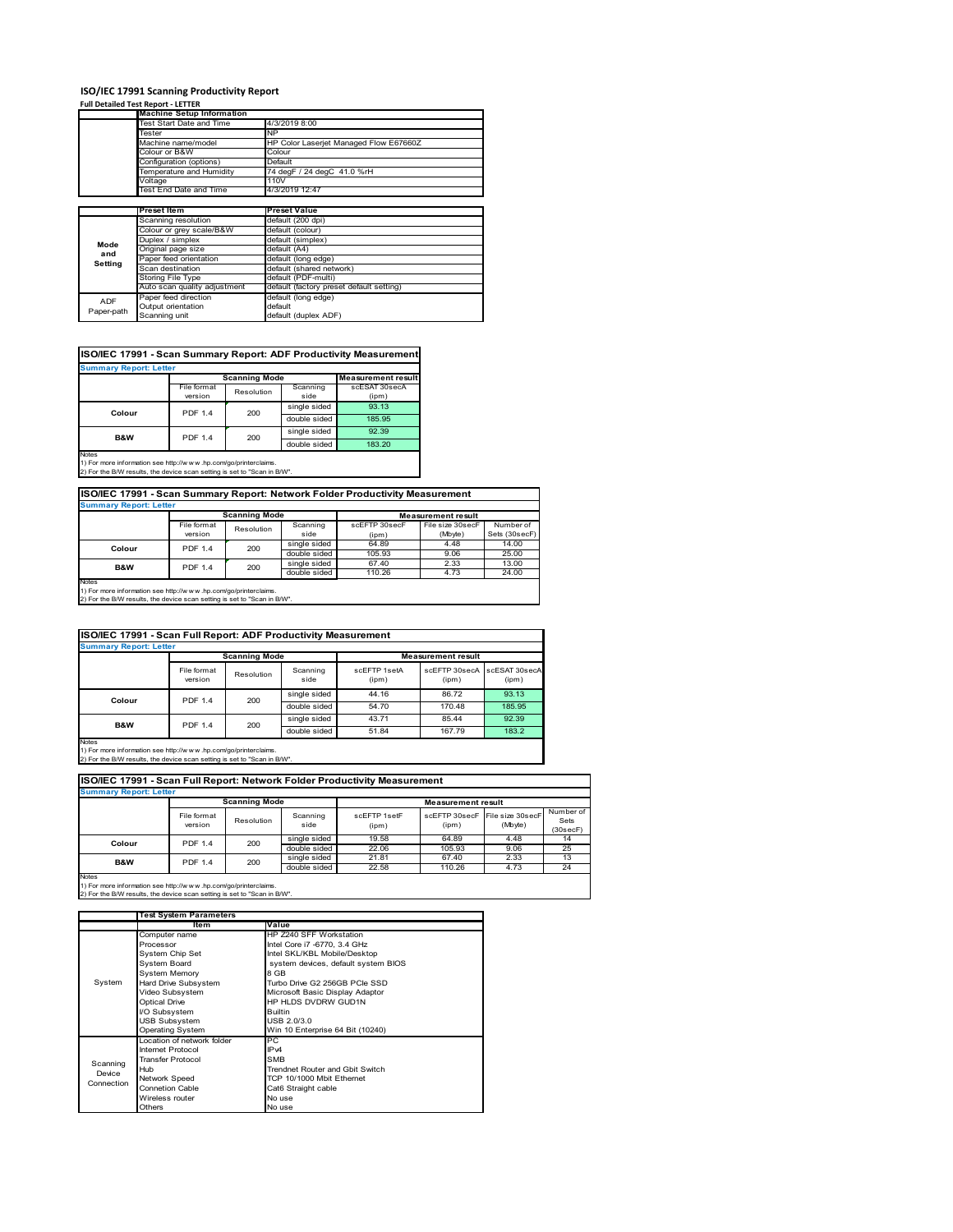#### **ISO/IEC 17991 Scanning Productivity Report**

#### **Full Detailed Test Report ‐ LETTER**

|            | <b>Machine Setup Information</b> |                                          |  |  |  |
|------------|----------------------------------|------------------------------------------|--|--|--|
|            | Test Start Date and Time         | 4/3/2019 8:00                            |  |  |  |
|            | Tester                           | NP                                       |  |  |  |
|            | Machine name/model               | HP Color Laserjet Managed Flow E67660Z   |  |  |  |
|            | Colour or B&W                    | Colour                                   |  |  |  |
|            | Configuration (options)          | Default                                  |  |  |  |
|            | Temperature and Humidity         | 74 degF / 24 degC 41.0 %rH               |  |  |  |
| Voltage    |                                  | 110V                                     |  |  |  |
|            | Test End Date and Time           | 4/3/2019 12:47                           |  |  |  |
|            |                                  |                                          |  |  |  |
|            | <b>Preset Item</b>               | <b>Preset Value</b>                      |  |  |  |
|            | Scanning resolution              | default (200 dpi)                        |  |  |  |
|            | Colour or grey scale/B&W         | default (colour)                         |  |  |  |
| Mode       | Duplex / simplex                 | default (simplex)                        |  |  |  |
| and        | Original page size               | default (A4)                             |  |  |  |
| Setting    | Paper feed orientation           | default (long edge)                      |  |  |  |
|            | Scan destination                 | default (shared network)                 |  |  |  |
|            | Storing File Type                | default (PDF-multi)                      |  |  |  |
|            | Auto scan quality adjustment     | default (factory preset default setting) |  |  |  |
| <b>ADF</b> | Paper feed direction             | default (long edge)                      |  |  |  |
|            | Output orientation               | default                                  |  |  |  |
| Paper-path | Scanning unit                    | default (duplex ADF)                     |  |  |  |

| ISO/IEC 17991 - Scan Summary Report: ADF Productivity Measuremen |
|------------------------------------------------------------------|
|------------------------------------------------------------------|

| <b>Summary Report: Letter</b>                                                  |                |                      |              |                           |  |  |  |
|--------------------------------------------------------------------------------|----------------|----------------------|--------------|---------------------------|--|--|--|
|                                                                                |                | <b>Scanning Mode</b> |              | <b>Measurement result</b> |  |  |  |
|                                                                                | File format    | Resolution           | Scanning     | scESAT 30secA             |  |  |  |
|                                                                                | version        |                      | side         | (ipm)                     |  |  |  |
| Colour                                                                         | <b>PDF 1.4</b> | 200                  | single sided | 93.13                     |  |  |  |
|                                                                                |                |                      | double sided | 185.95                    |  |  |  |
| <b>B&amp;W</b>                                                                 | <b>PDF 1.4</b> | 200                  | single sided | 92.39                     |  |  |  |
|                                                                                |                |                      | double sided | 183.20                    |  |  |  |
| <b>Notes</b><br>1) For more information can http://www.bp.com/go/printerclaime |                |                      |              |                           |  |  |  |

1) For more information see http://w w w .hp.com/go/printerclaims. 2) For the B/W results, the device scan setting is set to "Scan in B/W".

#### **ISO/IEC 17991 - Scan Summary Report: Network Folder Productivity Measurement**

| <b>Summary Report: Letter</b> |                |                      |              |                           |                  |               |  |
|-------------------------------|----------------|----------------------|--------------|---------------------------|------------------|---------------|--|
|                               |                | <b>Scanning Mode</b> |              | <b>Measurement result</b> |                  |               |  |
|                               | File format    | Resolution           | Scanning     | scEFTP 30secF             | File size 30secF | Number of     |  |
|                               | version        |                      | side         | (ipm)                     | (Mbyte)          | Sets (30secF) |  |
| Colour                        | <b>PDF 1.4</b> | 200                  | single sided | 64.89                     | 4.48             | 14.00         |  |
|                               |                |                      | double sided | 105.93                    | 9.06             | 25.00         |  |
| B&W                           | <b>PDF 1.4</b> | 200                  | single sided | 67.40                     | 2.33             | 13.00         |  |
|                               |                |                      | double sided | 110.26                    | 4.73             | 24.00         |  |
| Notes                         |                |                      |              |                           |                  |               |  |

Notes 1) For more information see http://w w w .hp.com/go/printerclaims. 2) For the B/W results, the device scan setting is set to "Scan in B/W".

| ISO/IEC 17991 - Scan Full Report: ADF Productivity Measurement |                                                   |            |                  |                       |                        |                        |  |  |  |
|----------------------------------------------------------------|---------------------------------------------------|------------|------------------|-----------------------|------------------------|------------------------|--|--|--|
| <b>Summary Report: Letter</b>                                  |                                                   |            |                  |                       |                        |                        |  |  |  |
|                                                                | <b>Scanning Mode</b><br><b>Measurement result</b> |            |                  |                       |                        |                        |  |  |  |
|                                                                | File format<br>version                            | Resolution | Scanning<br>side | scEFTP 1setA<br>(ipm) | scEFTP 30secA<br>(ipm) | scESAT 30secA<br>(ipm) |  |  |  |
| Colour                                                         | <b>PDF 1.4</b><br>200                             |            | single sided     | 44.16                 | 86.72                  | 93.13                  |  |  |  |
|                                                                |                                                   |            | double sided     | 54.70                 | 170.48                 | 185.95                 |  |  |  |
| B&W                                                            | <b>PDF 1.4</b>                                    | 200        | single sided     | 43.71                 | 85.44                  | 92.39                  |  |  |  |
|                                                                |                                                   |            | double sided     | 51.84                 | 167.79                 | 183.2                  |  |  |  |

Notes 1) For more information see http://w w w .hp.com/go/printerclaims. 2) For the B/W results, the device scan setting is set to "Scan in B/W".

| <b>Summary Report: Letter</b> |                        |            |                  |                           |        |                                           |                               |
|-------------------------------|------------------------|------------|------------------|---------------------------|--------|-------------------------------------------|-------------------------------|
| <b>Scanning Mode</b>          |                        |            |                  | <b>Measurement result</b> |        |                                           |                               |
|                               | File format<br>version | Resolution | Scanning<br>side | scFFTP 1setF<br>(ipm)     | (ipm)  | scEFTP 30secF File size 30secF<br>(Mbyte) | Number of<br>Sets<br>(30secF) |
| <b>PDF 1.4</b><br>Colour      |                        | 200        | single sided     | 19.58                     | 64.89  | 4.48                                      | 14                            |
|                               |                        |            | double sided     | 22.06                     | 105.93 | 9.06                                      | 25                            |
| <b>B&amp;W</b>                | <b>PDF 1.4</b>         | 200        | single sided     | 21.81                     | 67.40  | 2.33                                      | 13                            |
|                               |                        |            | double sided     | 22.58                     | 110.26 | 4.73                                      | 24                            |

1) For more information see http://w w w .hp.com/go/printerclaims. 2) For the B/W results, the device scan setting is set to "Scan in B/W".

|            | <b>Test System Parameters</b> |                                     |  |  |
|------------|-------------------------------|-------------------------------------|--|--|
|            | Item                          | Value                               |  |  |
|            | Computer name                 | HP Z240 SFF Workstation             |  |  |
|            | Processor                     | Intel Core i7 -6770, 3.4 GHz        |  |  |
|            | System Chip Set               | Intel SKL/KBL Mobile/Desktop        |  |  |
|            | System Board                  | system devices, default system BIOS |  |  |
|            | <b>System Memory</b>          | 8 GB                                |  |  |
| System     | Hard Drive Subsystem          | Turbo Drive G2 256GB PCIe SSD       |  |  |
|            | Video Subsystem               | Microsoft Basic Display Adaptor     |  |  |
|            | <b>Optical Drive</b>          | HP HLDS DVDRW GUD1N                 |  |  |
|            | I/O Subsystem                 | <b>Builtin</b>                      |  |  |
|            | <b>USB Subsystem</b>          | USB 2.0/3.0                         |  |  |
|            | <b>Operating System</b>       | Win 10 Enterprise 64 Bit (10240)    |  |  |
|            | Location of network folder    | PC                                  |  |  |
|            | Internet Protocol             | IP <sub>v4</sub>                    |  |  |
| Scanning   | <b>Transfer Protocol</b>      | <b>SMB</b>                          |  |  |
| Device     | Hub                           | Trendnet Router and Gbit Switch     |  |  |
| Connection | Network Speed                 | TCP 10/1000 Mbit Ethernet           |  |  |
|            | <b>Connetion Cable</b>        | Cat6 Straight cable                 |  |  |
|            | Wireless router               | No use                              |  |  |
|            | Others                        | No use                              |  |  |